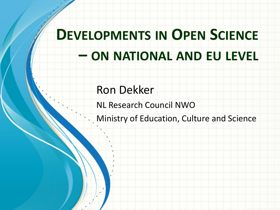# **DEVELOPMENTS IN OPEN SCIENCE – ON NATIONAL AND EU LEVEL**

#### Ron Dekker

NL Research Council NWO

Ministry of Education, Culture and Science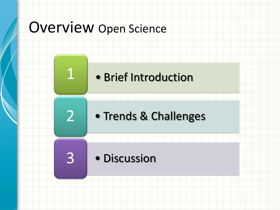### Overview Open Science

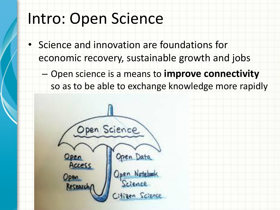### Intro: Open Science

- Science and innovation are foundations for economic recovery, sustainable growth and jobs
	- Open science is a means to **improve connectivity** so as to be able to exchange knowledge more rapidly

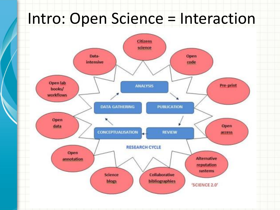## Intro: Open Science = Interaction

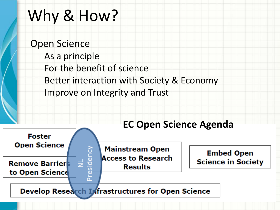### Why & How?

Open Science As a principle For the benefit of science Better interaction with Society & Economy Improve on Integrity and Trust

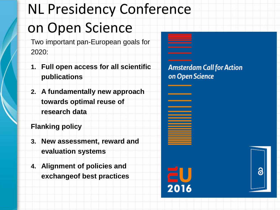# NL Presidency Conference on Open Science

Two important pan-European goals for 2020:

- **1. Full open access for all scientific publications**
- **2. A fundamentally new approach towards optimal reuse of research data**

**Flanking policy**

- **3. New assessment, reward and evaluation systems**
- **4. Alignment of policies and exchangeof best practices**

**Amsterdam Call for Action** on Open Science

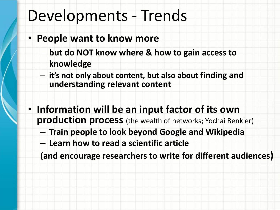### Developments - Trends

- **People want to know more**
	- **but do NOT know where & how to gain access to knowledge**
	- **it's not only about content, but also about finding and understanding relevant content**
- **Information will be an input factor of its own production process** (the wealth of networks; Yochai Benkler)
	- **Train people to look beyond Google and Wikipedia**
	- **Learn how to read a scientific article**

**(and encourage researchers to write for different audiences)**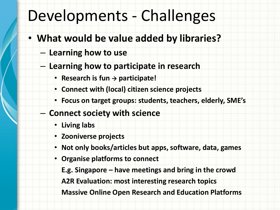## Developments - Challenges

- **What would be value added by libraries?**
	- **Learning how to use**
	- **Learning how to participate in research**
		- $\cdot$  **Research is fun**  $\rightarrow$  **participate!**
		- **Connect with (local) citizen science projects**
		- **Focus on target groups: students, teachers, elderly, SME's**
	- **Connect society with science**
		- **Living labs**
		- **Zooniverse projects**
		- **Not only books/articles but apps, software, data, games**
		- **Organise platforms to connect** 
			- **E.g. Singapore – have meetings and bring in the crowd**

**A2R Evaluation: most interesting research topics**

**Massive Online Open Research and Education Platforms**